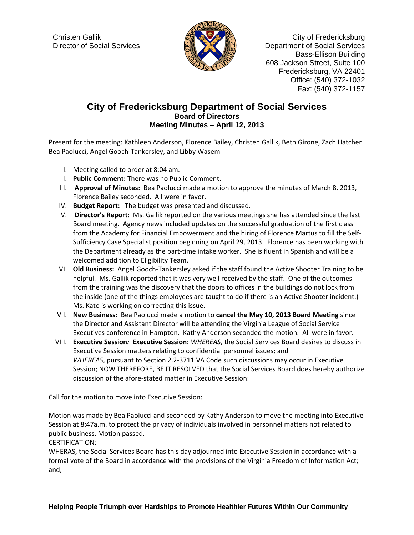

Christen Gallik Christen Gallik Christen Gallik Christen Callichter Christen Christen Christen Christen Christen Christen Christen Christen Christen Christen Christen Christen Christen Christen Christen Christen Christen C Director of Social Services Department of Social Services Bass-Ellison Building 608 Jackson Street, Suite 100 Fredericksburg, VA 22401 Office: (540) 372-1032 Fax: (540) 372-1157

## **City of Fredericksburg Department of Social Services Board of Directors Meeting Minutes – April 12, 2013**

Present for the meeting: Kathleen Anderson, Florence Bailey, Christen Gallik, Beth Girone, Zach Hatcher Bea Paolucci, Angel Gooch‐Tankersley, and Libby Wasem

- I. Meeting called to order at 8:04 am.
- II. **Public Comment:** There was no Public Comment.
- III. **Approval of Minutes:** Bea Paolucci made a motion to approve the minutes of March 8, 2013, Florence Bailey seconded. All were in favor.
- IV. **Budget Report:** The budget was presented and discussed.
- V. **Director's Report:** Ms. Gallik reported on the various meetings she has attended since the last Board meeting. Agency news included updates on the successful graduation of the first class from the Academy for Financial Empowerment and the hiring of Florence Martus to fill the Self‐ Sufficiency Case Specialist position beginning on April 29, 2013. Florence has been working with the Department already as the part-time intake worker. She is fluent in Spanish and will be a welcomed addition to Eligibility Team.
- VI. **Old Business:** Angel Gooch‐Tankersley asked if the staff found the Active Shooter Training to be helpful. Ms. Gallik reported that it was very well received by the staff. One of the outcomes from the training was the discovery that the doors to offices in the buildings do not lock from the inside (one of the things employees are taught to do if there is an Active Shooter incident.) Ms. Kato is working on correcting this issue.
- VII. **New Business:** Bea Paolucci made a motion to **cancel the May 10, 2013 Board Meeting** since the Director and Assistant Director will be attending the Virginia League of Social Service Executives conference in Hampton. Kathy Anderson seconded the motion. All were in favor.
- VIII. **Executive Session***:* **Executive Session:** *WHEREAS*, the Social Services Board desires to discuss in Executive Session matters relating to confidential personnel issues; and *WHEREAS*, pursuant to Section 2.2‐3711 VA Code such discussions may occur in Executive Session; NOW THEREFORE, BE IT RESOLVED that the Social Services Board does hereby authorize discussion of the afore‐stated matter in Executive Session:

Call for the motion to move into Executive Session:

Motion was made by Bea Paolucci and seconded by Kathy Anderson to move the meeting into Executive Session at 8:47a.m. to protect the privacy of individuals involved in personnel matters not related to public business. Motion passed.

CERTIFICATION:

WHERAS, the Social Services Board has this day adjourned into Executive Session in accordance with a formal vote of the Board in accordance with the provisions of the Virginia Freedom of Information Act; and,